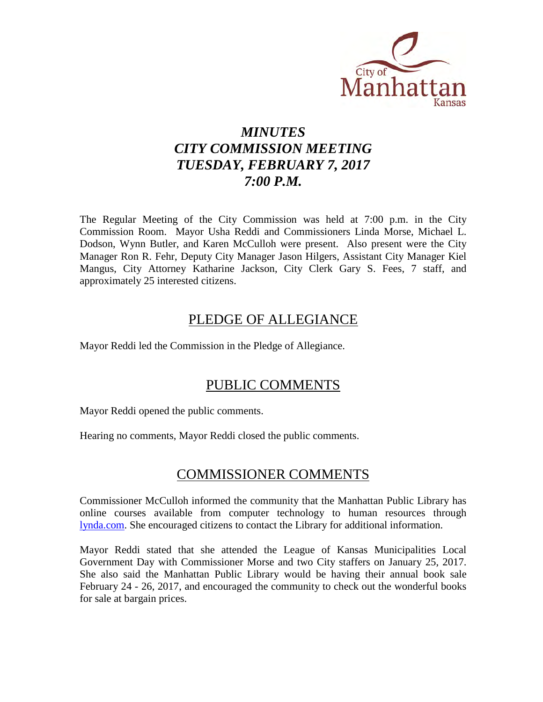

# *MINUTES CITY COMMISSION MEETING TUESDAY, FEBRUARY 7, 2017 7:00 P.M.*

The Regular Meeting of the City Commission was held at 7:00 p.m. in the City Commission Room. Mayor Usha Reddi and Commissioners Linda Morse, Michael L. Dodson, Wynn Butler, and Karen McCulloh were present. Also present were the City Manager Ron R. Fehr, Deputy City Manager Jason Hilgers, Assistant City Manager Kiel Mangus, City Attorney Katharine Jackson, City Clerk Gary S. Fees, 7 staff, and approximately 25 interested citizens.

## PLEDGE OF ALLEGIANCE

Mayor Reddi led the Commission in the Pledge of Allegiance.

## PUBLIC COMMENTS

Mayor Reddi opened the public comments.

Hearing no comments, Mayor Reddi closed the public comments.

## COMMISSIONER COMMENTS

Commissioner McCulloh informed the community that the Manhattan Public Library has online courses available from computer technology to human resources through [lynda.com.](https://www.lynda.com/) She encouraged citizens to contact the Library for additional information.

Mayor Reddi stated that she attended the League of Kansas Municipalities Local Government Day with Commissioner Morse and two City staffers on January 25, 2017. She also said the Manhattan Public Library would be having their annual book sale February 24 - 26, 2017, and encouraged the community to check out the wonderful books for sale at bargain prices.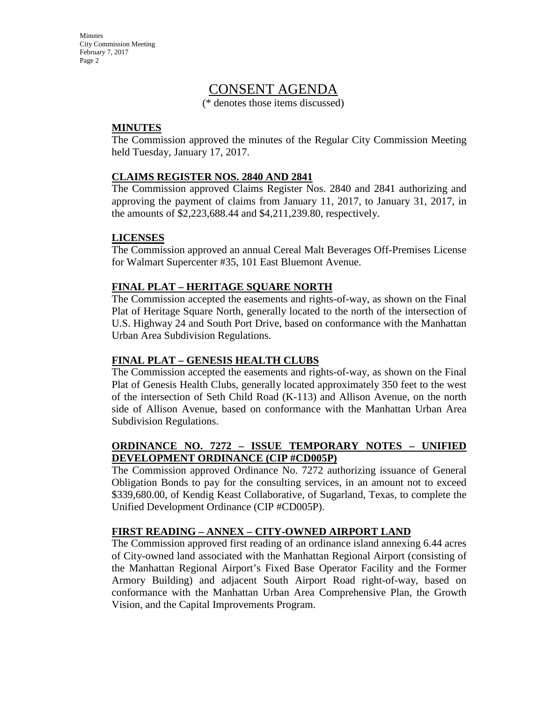## CONSENT AGENDA

(\* denotes those items discussed)

## **MINUTES**

The Commission approved the minutes of the Regular City Commission Meeting held Tuesday, January 17, 2017.

## **CLAIMS REGISTER NOS. 2840 AND 2841**

The Commission approved Claims Register Nos. 2840 and 2841 authorizing and approving the payment of claims from January 11, 2017, to January 31, 2017, in the amounts of \$2,223,688.44 and \$4,211,239.80, respectively.

## **LICENSES**

The Commission approved an annual Cereal Malt Beverages Off-Premises License for Walmart Supercenter #35, 101 East Bluemont Avenue.

## **FINAL PLAT – HERITAGE SQUARE NORTH**

The Commission accepted the easements and rights-of-way, as shown on the Final Plat of Heritage Square North, generally located to the north of the intersection of U.S. Highway 24 and South Port Drive, based on conformance with the Manhattan Urban Area Subdivision Regulations.

## **FINAL PLAT – GENESIS HEALTH CLUBS**

The Commission accepted the easements and rights-of-way, as shown on the Final Plat of Genesis Health Clubs, generally located approximately 350 feet to the west of the intersection of Seth Child Road (K-113) and Allison Avenue, on the north side of Allison Avenue, based on conformance with the Manhattan Urban Area Subdivision Regulations.

## **ORDINANCE NO. 7272 – ISSUE TEMPORARY NOTES – UNIFIED DEVELOPMENT ORDINANCE (CIP #CD005P)**

The Commission approved Ordinance No. 7272 authorizing issuance of General Obligation Bonds to pay for the consulting services, in an amount not to exceed \$339,680.00, of Kendig Keast Collaborative, of Sugarland, Texas, to complete the Unified Development Ordinance (CIP #CD005P).

## **FIRST READING – ANNEX – CITY-OWNED AIRPORT LAND**

The Commission approved first reading of an ordinance island annexing 6.44 acres of City-owned land associated with the Manhattan Regional Airport (consisting of the Manhattan Regional Airport's Fixed Base Operator Facility and the Former Armory Building) and adjacent South Airport Road right-of-way, based on conformance with the Manhattan Urban Area Comprehensive Plan, the Growth Vision, and the Capital Improvements Program.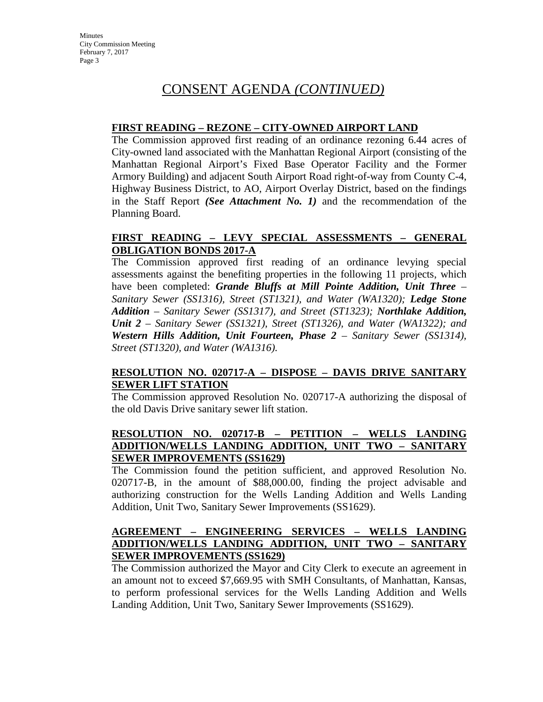### **FIRST READING – REZONE – CITY-OWNED AIRPORT LAND**

The Commission approved first reading of an ordinance rezoning 6.44 acres of City-owned land associated with the Manhattan Regional Airport (consisting of the Manhattan Regional Airport's Fixed Base Operator Facility and the Former Armory Building) and adjacent South Airport Road right-of-way from County C-4, Highway Business District, to AO, Airport Overlay District, based on the findings in the Staff Report *(See Attachment No. 1)* and the recommendation of the Planning Board.

## **FIRST READING – LEVY SPECIAL ASSESSMENTS – GENERAL OBLIGATION BONDS 2017-A**

The Commission approved first reading of an ordinance levying special assessments against the benefiting properties in the following 11 projects, which have been completed: *Grande Bluffs at Mill Pointe Addition, Unit Three – Sanitary Sewer (SS1316), Street (ST1321), and Water (WA1320); Ledge Stone Addition – Sanitary Sewer (SS1317), and Street (ST1323); Northlake Addition, Unit 2 – Sanitary Sewer (SS1321), Street (ST1326), and Water (WA1322); and*  **Western Hills Addition, Unit Fourteen, Phase 2 – Sanitary Sewer (SS1314),** *Street (ST1320), and Water (WA1316).*

### **RESOLUTION NO. 020717-A – DISPOSE – DAVIS DRIVE SANITARY SEWER LIFT STATION**

The Commission approved Resolution No. 020717-A authorizing the disposal of the old Davis Drive sanitary sewer lift station.

## **RESOLUTION NO. 020717-B – PETITION – WELLS LANDING ADDITION/WELLS LANDING ADDITION, UNIT TWO – SANITARY SEWER IMPROVEMENTS (SS1629)**

The Commission found the petition sufficient, and approved Resolution No. 020717-B, in the amount of \$88,000.00, finding the project advisable and authorizing construction for the Wells Landing Addition and Wells Landing Addition, Unit Two, Sanitary Sewer Improvements (SS1629).

### **AGREEMENT – ENGINEERING SERVICES – WELLS LANDING ADDITION/WELLS LANDING ADDITION, UNIT TWO – SANITARY SEWER IMPROVEMENTS (SS1629)**

The Commission authorized the Mayor and City Clerk to execute an agreement in an amount not to exceed \$7,669.95 with SMH Consultants, of Manhattan, Kansas, to perform professional services for the Wells Landing Addition and Wells Landing Addition, Unit Two, Sanitary Sewer Improvements (SS1629).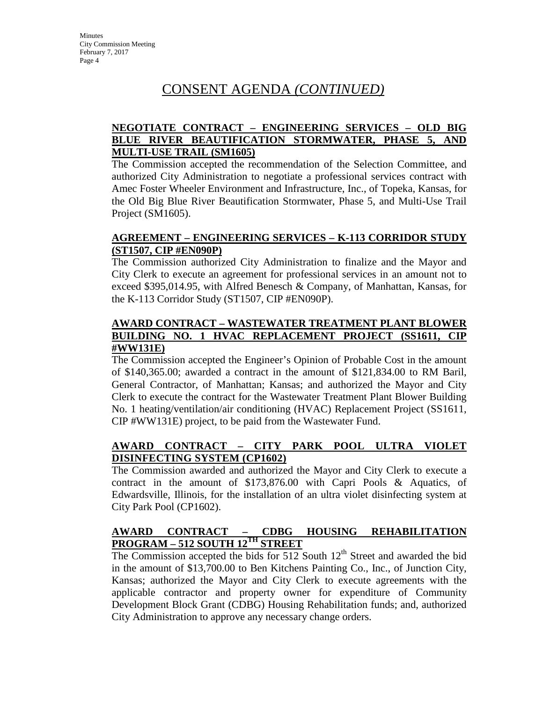## **NEGOTIATE CONTRACT – ENGINEERING SERVICES – OLD BIG BLUE RIVER BEAUTIFICATION STORMWATER, PHASE 5, AND MULTI-USE TRAIL (SM1605)**

The Commission accepted the recommendation of the Selection Committee, and authorized City Administration to negotiate a professional services contract with Amec Foster Wheeler Environment and Infrastructure, Inc., of Topeka, Kansas, for the Old Big Blue River Beautification Stormwater, Phase 5, and Multi-Use Trail Project (SM1605).

## **AGREEMENT – ENGINEERING SERVICES – K-113 CORRIDOR STUDY (ST1507, CIP #EN090P)**

The Commission authorized City Administration to finalize and the Mayor and City Clerk to execute an agreement for professional services in an amount not to exceed \$395,014.95, with Alfred Benesch & Company, of Manhattan, Kansas, for the K-113 Corridor Study (ST1507, CIP #EN090P).

### **AWARD CONTRACT – WASTEWATER TREATMENT PLANT BLOWER BUILDING NO. 1 HVAC REPLACEMENT PROJECT (SS1611, CIP #WW131E)**

The Commission accepted the Engineer's Opinion of Probable Cost in the amount of \$140,365.00; awarded a contract in the amount of \$121,834.00 to RM Baril, General Contractor, of Manhattan; Kansas; and authorized the Mayor and City Clerk to execute the contract for the Wastewater Treatment Plant Blower Building No. 1 heating/ventilation/air conditioning (HVAC) Replacement Project (SS1611, CIP #WW131E) project, to be paid from the Wastewater Fund.

## **AWARD CONTRACT – CITY PARK POOL ULTRA VIOLET DISINFECTING SYSTEM (CP1602)**

The Commission awarded and authorized the Mayor and City Clerk to execute a contract in the amount of \$173,876.00 with Capri Pools & Aquatics, of Edwardsville, Illinois, for the installation of an ultra violet disinfecting system at City Park Pool (CP1602).

## **AWARD CONTRACT – CDBG HOUSING REHABILITATION PROGRAM – 512 SOUTH 12TH STREET**

The Commission accepted the bids for  $512$  South  $12<sup>th</sup>$  Street and awarded the bid in the amount of \$13,700.00 to Ben Kitchens Painting Co., Inc., of Junction City, Kansas; authorized the Mayor and City Clerk to execute agreements with the applicable contractor and property owner for expenditure of Community Development Block Grant (CDBG) Housing Rehabilitation funds; and, authorized City Administration to approve any necessary change orders.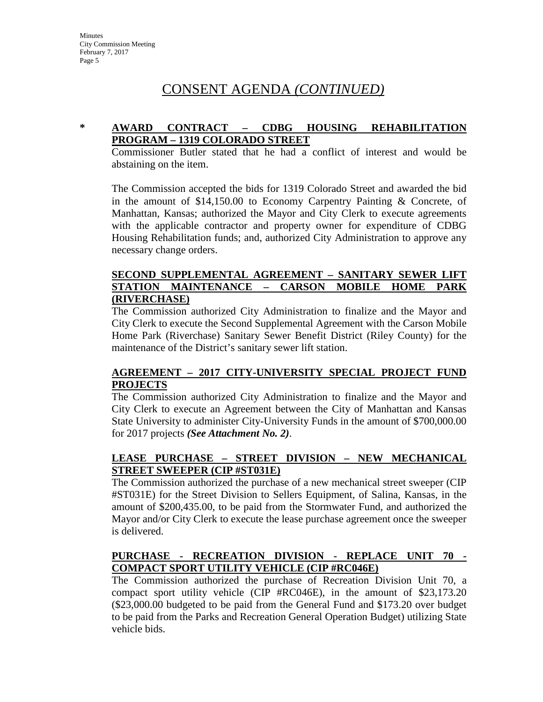## **\* AWARD CONTRACT – CDBG HOUSING REHABILITATION PROGRAM – 1319 COLORADO STREET**

Commissioner Butler stated that he had a conflict of interest and would be abstaining on the item.

The Commission accepted the bids for 1319 Colorado Street and awarded the bid in the amount of \$14,150.00 to Economy Carpentry Painting & Concrete, of Manhattan, Kansas; authorized the Mayor and City Clerk to execute agreements with the applicable contractor and property owner for expenditure of CDBG Housing Rehabilitation funds; and, authorized City Administration to approve any necessary change orders.

### **SECOND SUPPLEMENTAL AGREEMENT – SANITARY SEWER LIFT STATION MAINTENANCE – CARSON MOBILE HOME PARK (RIVERCHASE)**

The Commission authorized City Administration to finalize and the Mayor and City Clerk to execute the Second Supplemental Agreement with the Carson Mobile Home Park (Riverchase) Sanitary Sewer Benefit District (Riley County) for the maintenance of the District's sanitary sewer lift station.

## **AGREEMENT – 2017 CITY-UNIVERSITY SPECIAL PROJECT FUND PROJECTS**

The Commission authorized City Administration to finalize and the Mayor and City Clerk to execute an Agreement between the City of Manhattan and Kansas State University to administer City-University Funds in the amount of \$700,000.00 for 2017 projects *(See Attachment No. 2)*.

## **LEASE PURCHASE – STREET DIVISION – NEW MECHANICAL STREET SWEEPER (CIP #ST031E)**

The Commission authorized the purchase of a new mechanical street sweeper (CIP #ST031E) for the Street Division to Sellers Equipment, of Salina, Kansas, in the amount of \$200,435.00, to be paid from the Stormwater Fund, and authorized the Mayor and/or City Clerk to execute the lease purchase agreement once the sweeper is delivered.

## **PURCHASE - RECREATION DIVISION - REPLACE UNIT 70 - COMPACT SPORT UTILITY VEHICLE (CIP #RC046E)**

The Commission authorized the purchase of Recreation Division Unit 70, a compact sport utility vehicle (CIP #RC046E), in the amount of \$23,173.20 (\$23,000.00 budgeted to be paid from the General Fund and \$173.20 over budget to be paid from the Parks and Recreation General Operation Budget) utilizing State vehicle bids.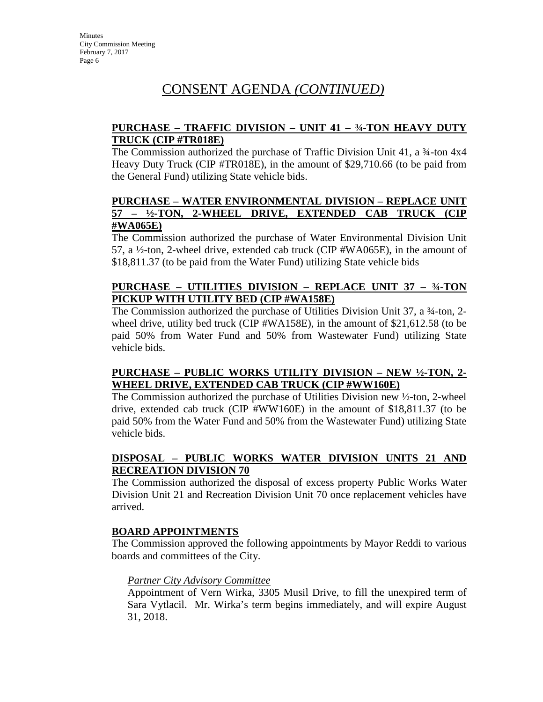## **PURCHASE – TRAFFIC DIVISION – UNIT 41 – ¾-TON HEAVY DUTY TRUCK (CIP #TR018E)**

The Commission authorized the purchase of Traffic Division Unit  $41$ , a  $4$ -ton  $4x4$ Heavy Duty Truck (CIP #TR018E), in the amount of \$29,710.66 (to be paid from the General Fund) utilizing State vehicle bids.

### **PURCHASE – WATER ENVIRONMENTAL DIVISION – REPLACE UNIT 57 – ½-TON, 2-WHEEL DRIVE, EXTENDED CAB TRUCK (CIP #WA065E)**

The Commission authorized the purchase of Water Environmental Division Unit 57, a ½-ton, 2-wheel drive, extended cab truck (CIP #WA065E), in the amount of \$18,811.37 (to be paid from the Water Fund) utilizing State vehicle bids

## **PURCHASE – UTILITIES DIVISION – REPLACE UNIT 37 – ¾-TON PICKUP WITH UTILITY BED (CIP #WA158E)**

The Commission authorized the purchase of Utilities Division Unit 37, a ¾-ton, 2 wheel drive, utility bed truck (CIP #WA158E), in the amount of \$21,612.58 (to be paid 50% from Water Fund and 50% from Wastewater Fund) utilizing State vehicle bids.

## **PURCHASE – PUBLIC WORKS UTILITY DIVISION – NEW ½-TON, 2- WHEEL DRIVE, EXTENDED CAB TRUCK (CIP #WW160E)**

The Commission authorized the purchase of Utilities Division new ½-ton, 2-wheel drive, extended cab truck (CIP #WW160E) in the amount of \$18,811.37 (to be paid 50% from the Water Fund and 50% from the Wastewater Fund) utilizing State vehicle bids.

## **DISPOSAL – PUBLIC WORKS WATER DIVISION UNITS 21 AND RECREATION DIVISION 70**

The Commission authorized the disposal of excess property Public Works Water Division Unit 21 and Recreation Division Unit 70 once replacement vehicles have arrived.

## **BOARD APPOINTMENTS**

The Commission approved the following appointments by Mayor Reddi to various boards and committees of the City.

## *Partner City Advisory Committee*

Appointment of Vern Wirka, 3305 Musil Drive, to fill the unexpired term of Sara Vytlacil. Mr. Wirka's term begins immediately, and will expire August 31, 2018.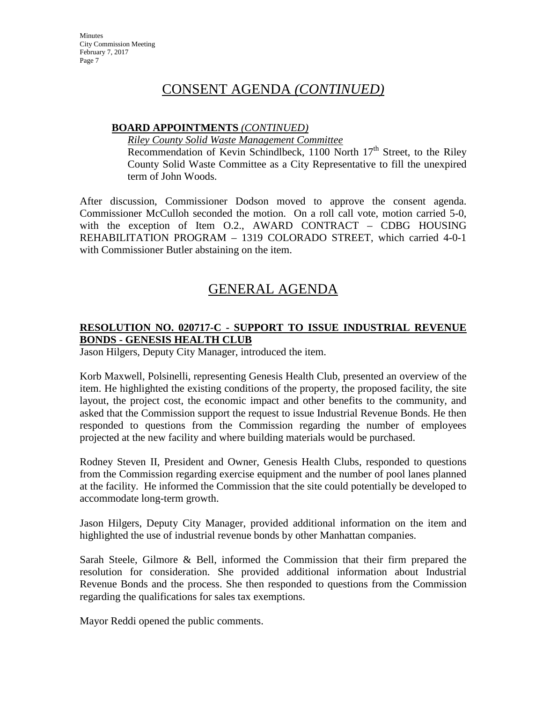## **BOARD APPOINTMENTS** *(CONTINUED)*

*Riley County Solid Waste Management Committee*

Recommendation of Kevin Schindlbeck, 1100 North  $17<sup>th</sup>$  Street, to the Riley County Solid Waste Committee as a City Representative to fill the unexpired term of John Woods.

After discussion, Commissioner Dodson moved to approve the consent agenda. Commissioner McCulloh seconded the motion. On a roll call vote, motion carried 5-0, with the exception of Item O.2., AWARD CONTRACT – CDBG HOUSING REHABILITATION PROGRAM – 1319 COLORADO STREET, which carried 4-0-1 with Commissioner Butler abstaining on the item.

# GENERAL AGENDA

## **RESOLUTION NO. 020717-C - SUPPORT TO ISSUE INDUSTRIAL REVENUE BONDS - GENESIS HEALTH CLUB**

Jason Hilgers, Deputy City Manager, introduced the item.

Korb Maxwell, Polsinelli, representing Genesis Health Club, presented an overview of the item. He highlighted the existing conditions of the property, the proposed facility, the site layout, the project cost, the economic impact and other benefits to the community, and asked that the Commission support the request to issue Industrial Revenue Bonds. He then responded to questions from the Commission regarding the number of employees projected at the new facility and where building materials would be purchased.

Rodney Steven II, President and Owner, Genesis Health Clubs, responded to questions from the Commission regarding exercise equipment and the number of pool lanes planned at the facility. He informed the Commission that the site could potentially be developed to accommodate long-term growth.

Jason Hilgers, Deputy City Manager, provided additional information on the item and highlighted the use of industrial revenue bonds by other Manhattan companies.

Sarah Steele, Gilmore & Bell, informed the Commission that their firm prepared the resolution for consideration. She provided additional information about Industrial Revenue Bonds and the process. She then responded to questions from the Commission regarding the qualifications for sales tax exemptions.

Mayor Reddi opened the public comments.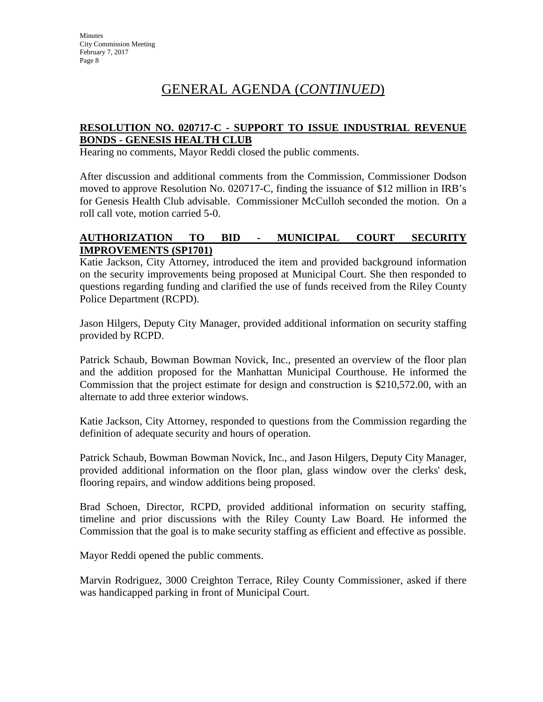## **RESOLUTION NO. 020717-C - SUPPORT TO ISSUE INDUSTRIAL REVENUE BONDS - GENESIS HEALTH CLUB**

Hearing no comments, Mayor Reddi closed the public comments.

After discussion and additional comments from the Commission, Commissioner Dodson moved to approve Resolution No. 020717-C, finding the issuance of \$12 million in IRB's for Genesis Health Club advisable. Commissioner McCulloh seconded the motion. On a roll call vote, motion carried 5-0.

## **AUTHORIZATION TO BID - MUNICIPAL COURT SECURITY IMPROVEMENTS (SP1701)**

Katie Jackson, City Attorney, introduced the item and provided background information on the security improvements being proposed at Municipal Court. She then responded to questions regarding funding and clarified the use of funds received from the Riley County Police Department (RCPD).

Jason Hilgers, Deputy City Manager, provided additional information on security staffing provided by RCPD.

Patrick Schaub, Bowman Bowman Novick, Inc., presented an overview of the floor plan and the addition proposed for the Manhattan Municipal Courthouse. He informed the Commission that the project estimate for design and construction is \$210,572.00, with an alternate to add three exterior windows.

Katie Jackson, City Attorney, responded to questions from the Commission regarding the definition of adequate security and hours of operation.

Patrick Schaub, Bowman Bowman Novick, Inc., and Jason Hilgers, Deputy City Manager, provided additional information on the floor plan, glass window over the clerks' desk, flooring repairs, and window additions being proposed.

Brad Schoen, Director, RCPD, provided additional information on security staffing, timeline and prior discussions with the Riley County Law Board. He informed the Commission that the goal is to make security staffing as efficient and effective as possible.

Mayor Reddi opened the public comments.

Marvin Rodriguez, 3000 Creighton Terrace, Riley County Commissioner, asked if there was handicapped parking in front of Municipal Court.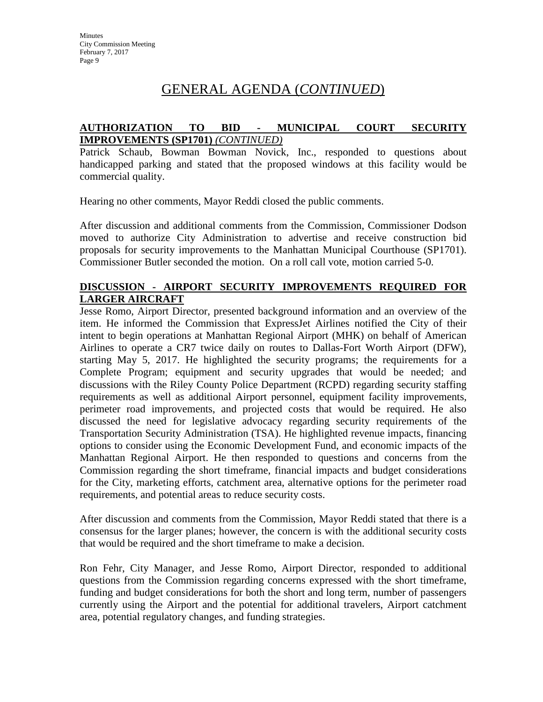## **AUTHORIZATION TO BID - MUNICIPAL COURT SECURITY IMPROVEMENTS (SP1701)** *(CONTINUED)*

Patrick Schaub, Bowman Bowman Novick, Inc., responded to questions about handicapped parking and stated that the proposed windows at this facility would be commercial quality.

Hearing no other comments, Mayor Reddi closed the public comments.

After discussion and additional comments from the Commission, Commissioner Dodson moved to authorize City Administration to advertise and receive construction bid proposals for security improvements to the Manhattan Municipal Courthouse (SP1701). Commissioner Butler seconded the motion. On a roll call vote, motion carried 5-0.

## **DISCUSSION - AIRPORT SECURITY IMPROVEMENTS REQUIRED FOR LARGER AIRCRAFT**

Jesse Romo, Airport Director, presented background information and an overview of the item. He informed the Commission that ExpressJet Airlines notified the City of their intent to begin operations at Manhattan Regional Airport (MHK) on behalf of American Airlines to operate a CR7 twice daily on routes to Dallas-Fort Worth Airport (DFW), starting May 5, 2017. He highlighted the security programs; the requirements for a Complete Program; equipment and security upgrades that would be needed; and discussions with the Riley County Police Department (RCPD) regarding security staffing requirements as well as additional Airport personnel, equipment facility improvements, perimeter road improvements, and projected costs that would be required. He also discussed the need for legislative advocacy regarding security requirements of the Transportation Security Administration (TSA). He highlighted revenue impacts, financing options to consider using the Economic Development Fund, and economic impacts of the Manhattan Regional Airport. He then responded to questions and concerns from the Commission regarding the short timeframe, financial impacts and budget considerations for the City, marketing efforts, catchment area, alternative options for the perimeter road requirements, and potential areas to reduce security costs.

After discussion and comments from the Commission, Mayor Reddi stated that there is a consensus for the larger planes; however, the concern is with the additional security costs that would be required and the short timeframe to make a decision.

Ron Fehr, City Manager, and Jesse Romo, Airport Director, responded to additional questions from the Commission regarding concerns expressed with the short timeframe, funding and budget considerations for both the short and long term, number of passengers currently using the Airport and the potential for additional travelers, Airport catchment area, potential regulatory changes, and funding strategies.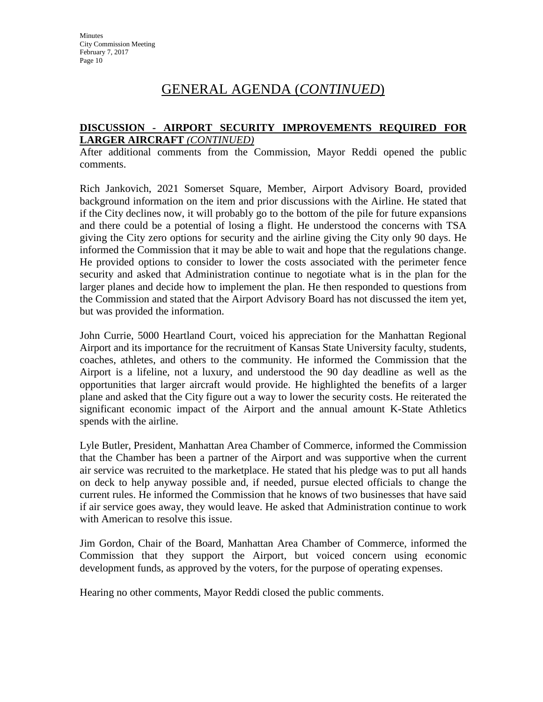#### **DISCUSSION - AIRPORT SECURITY IMPROVEMENTS REQUIRED FOR LARGER AIRCRAFT** *(CONTINUED)*

After additional comments from the Commission, Mayor Reddi opened the public comments.

Rich Jankovich, 2021 Somerset Square, Member, Airport Advisory Board, provided background information on the item and prior discussions with the Airline. He stated that if the City declines now, it will probably go to the bottom of the pile for future expansions and there could be a potential of losing a flight. He understood the concerns with TSA giving the City zero options for security and the airline giving the City only 90 days. He informed the Commission that it may be able to wait and hope that the regulations change. He provided options to consider to lower the costs associated with the perimeter fence security and asked that Administration continue to negotiate what is in the plan for the larger planes and decide how to implement the plan. He then responded to questions from the Commission and stated that the Airport Advisory Board has not discussed the item yet, but was provided the information.

John Currie, 5000 Heartland Court, voiced his appreciation for the Manhattan Regional Airport and its importance for the recruitment of Kansas State University faculty, students, coaches, athletes, and others to the community. He informed the Commission that the Airport is a lifeline, not a luxury, and understood the 90 day deadline as well as the opportunities that larger aircraft would provide. He highlighted the benefits of a larger plane and asked that the City figure out a way to lower the security costs. He reiterated the significant economic impact of the Airport and the annual amount K-State Athletics spends with the airline.

Lyle Butler, President, Manhattan Area Chamber of Commerce, informed the Commission that the Chamber has been a partner of the Airport and was supportive when the current air service was recruited to the marketplace. He stated that his pledge was to put all hands on deck to help anyway possible and, if needed, pursue elected officials to change the current rules. He informed the Commission that he knows of two businesses that have said if air service goes away, they would leave. He asked that Administration continue to work with American to resolve this issue.

Jim Gordon, Chair of the Board, Manhattan Area Chamber of Commerce, informed the Commission that they support the Airport, but voiced concern using economic development funds, as approved by the voters, for the purpose of operating expenses.

Hearing no other comments, Mayor Reddi closed the public comments.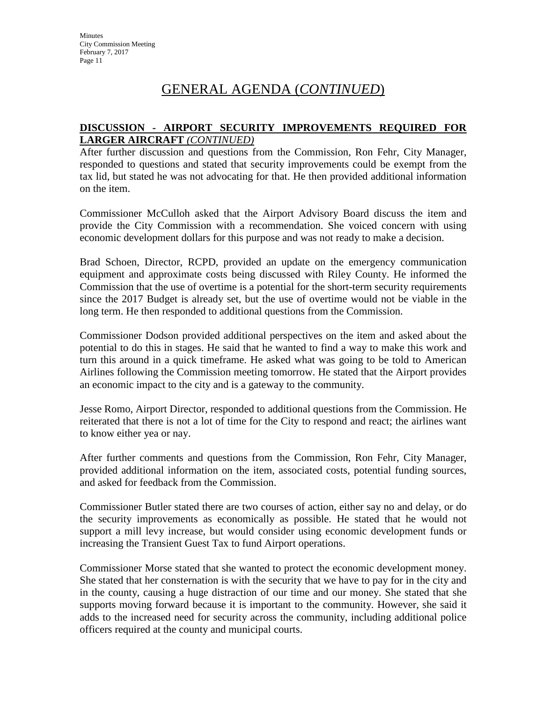### **DISCUSSION - AIRPORT SECURITY IMPROVEMENTS REQUIRED FOR LARGER AIRCRAFT** *(CONTINUED)*

After further discussion and questions from the Commission, Ron Fehr, City Manager, responded to questions and stated that security improvements could be exempt from the tax lid, but stated he was not advocating for that. He then provided additional information on the item.

Commissioner McCulloh asked that the Airport Advisory Board discuss the item and provide the City Commission with a recommendation. She voiced concern with using economic development dollars for this purpose and was not ready to make a decision.

Brad Schoen, Director, RCPD, provided an update on the emergency communication equipment and approximate costs being discussed with Riley County. He informed the Commission that the use of overtime is a potential for the short-term security requirements since the 2017 Budget is already set, but the use of overtime would not be viable in the long term. He then responded to additional questions from the Commission.

Commissioner Dodson provided additional perspectives on the item and asked about the potential to do this in stages. He said that he wanted to find a way to make this work and turn this around in a quick timeframe. He asked what was going to be told to American Airlines following the Commission meeting tomorrow. He stated that the Airport provides an economic impact to the city and is a gateway to the community.

Jesse Romo, Airport Director, responded to additional questions from the Commission. He reiterated that there is not a lot of time for the City to respond and react; the airlines want to know either yea or nay.

After further comments and questions from the Commission, Ron Fehr, City Manager, provided additional information on the item, associated costs, potential funding sources, and asked for feedback from the Commission.

Commissioner Butler stated there are two courses of action, either say no and delay, or do the security improvements as economically as possible. He stated that he would not support a mill levy increase, but would consider using economic development funds or increasing the Transient Guest Tax to fund Airport operations.

Commissioner Morse stated that she wanted to protect the economic development money. She stated that her consternation is with the security that we have to pay for in the city and in the county, causing a huge distraction of our time and our money. She stated that she supports moving forward because it is important to the community. However, she said it adds to the increased need for security across the community, including additional police officers required at the county and municipal courts.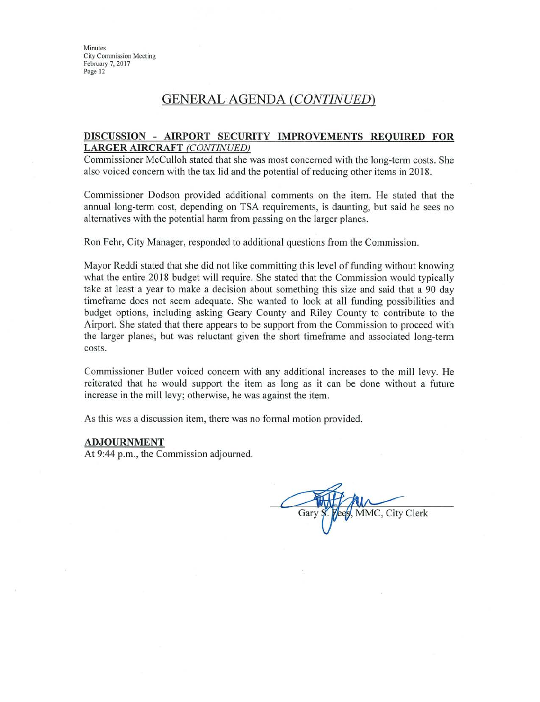## **GENERAL AGENDA (CONTINUED)**

#### DISCUSSION - AIRPORT SECURITY IMPROVEMENTS REQUIRED FOR **LARGER AIRCRAFT (CONTINUED)**

Commissioner McCulloh stated that she was most concerned with the long-term costs. She also voiced concern with the tax lid and the potential of reducing other items in 2018.

Commissioner Dodson provided additional comments on the item. He stated that the annual long-term cost, depending on TSA requirements, is daunting, but said he sees no alternatives with the potential harm from passing on the larger planes.

Ron Fehr, City Manager, responded to additional questions from the Commission.

Mayor Reddi stated that she did not like committing this level of funding without knowing what the entire 2018 budget will require. She stated that the Commission would typically take at least a year to make a decision about something this size and said that a 90 day timeframe does not seem adequate. She wanted to look at all funding possibilities and budget options, including asking Geary County and Riley County to contribute to the Airport. She stated that there appears to be support from the Commission to proceed with the larger planes, but was reluctant given the short timeframe and associated long-term costs.

Commissioner Butler voiced concern with any additional increases to the mill levy. He reiterated that he would support the item as long as it can be done without a future increase in the mill levy; otherwise, he was against the item.

As this was a discussion item, there was no formal motion provided.

#### **ADJOURNMENT**

At 9:44 p.m., the Commission adjourned.

MMC, City Clerk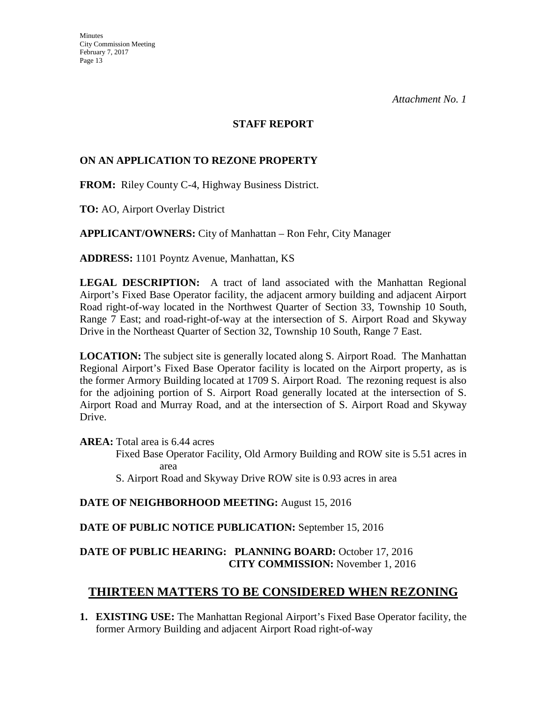### **STAFF REPORT**

## **ON AN APPLICATION TO REZONE PROPERTY**

**FROM:** Riley County C-4, Highway Business District.

**TO:** AO, Airport Overlay District

**APPLICANT/OWNERS:** City of Manhattan – Ron Fehr, City Manager

**ADDRESS:** 1101 Poyntz Avenue, Manhattan, KS

**LEGAL DESCRIPTION:** A tract of land associated with the Manhattan Regional Airport's Fixed Base Operator facility, the adjacent armory building and adjacent Airport Road right-of-way located in the Northwest Quarter of Section 33, Township 10 South, Range 7 East; and road-right-of-way at the intersection of S. Airport Road and Skyway Drive in the Northeast Quarter of Section 32, Township 10 South, Range 7 East.

**LOCATION:** The subject site is generally located along S. Airport Road. The Manhattan Regional Airport's Fixed Base Operator facility is located on the Airport property, as is the former Armory Building located at 1709 S. Airport Road. The rezoning request is also for the adjoining portion of S. Airport Road generally located at the intersection of S. Airport Road and Murray Road, and at the intersection of S. Airport Road and Skyway Drive.

**AREA:** Total area is 6.44 acres

Fixed Base Operator Facility, Old Armory Building and ROW site is 5.51 acres in area

S. Airport Road and Skyway Drive ROW site is 0.93 acres in area

**DATE OF NEIGHBORHOOD MEETING:** August 15, 2016

**DATE OF PUBLIC NOTICE PUBLICATION:** September 15, 2016

## **DATE OF PUBLIC HEARING: PLANNING BOARD:** October 17, 2016 **CITY COMMISSION:** November 1, 2016

## **THIRTEEN MATTERS TO BE CONSIDERED WHEN REZONING**

**1. EXISTING USE:** The Manhattan Regional Airport's Fixed Base Operator facility, the former Armory Building and adjacent Airport Road right-of-way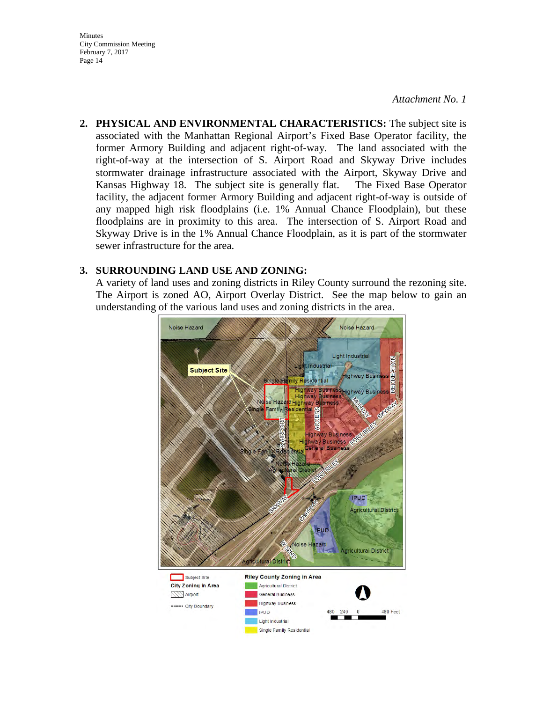*Attachment No. 1*

**2. PHYSICAL AND ENVIRONMENTAL CHARACTERISTICS:** The subject site is associated with the Manhattan Regional Airport's Fixed Base Operator facility, the former Armory Building and adjacent right-of-way. The land associated with the right-of-way at the intersection of S. Airport Road and Skyway Drive includes stormwater drainage infrastructure associated with the Airport, Skyway Drive and Kansas Highway 18. The subject site is generally flat. The Fixed Base Operator facility, the adjacent former Armory Building and adjacent right-of-way is outside of any mapped high risk floodplains (i.e. 1% Annual Chance Floodplain), but these floodplains are in proximity to this area. The intersection of S. Airport Road and Skyway Drive is in the 1% Annual Chance Floodplain, as it is part of the stormwater sewer infrastructure for the area.

#### **3. SURROUNDING LAND USE AND ZONING:**

A variety of land uses and zoning districts in Riley County surround the rezoning site. The Airport is zoned AO, Airport Overlay District. See the map below to gain an understanding of the various land uses and zoning districts in the area.

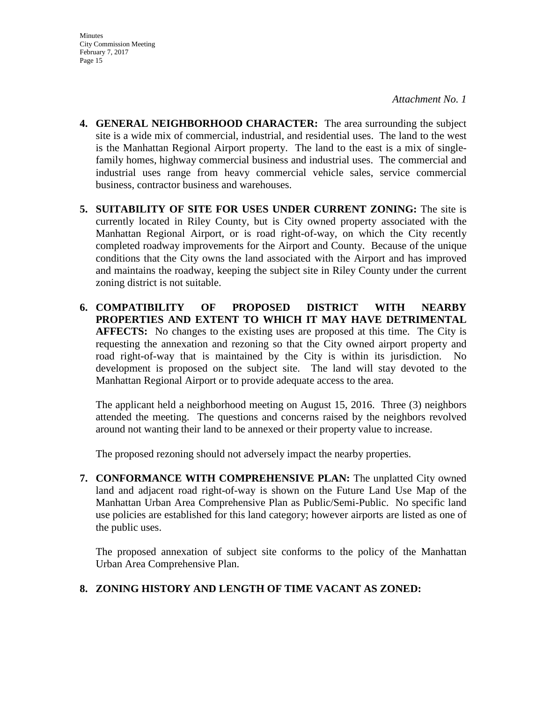- **4. GENERAL NEIGHBORHOOD CHARACTER:** The area surrounding the subject site is a wide mix of commercial, industrial, and residential uses. The land to the west is the Manhattan Regional Airport property. The land to the east is a mix of singlefamily homes, highway commercial business and industrial uses. The commercial and industrial uses range from heavy commercial vehicle sales, service commercial business, contractor business and warehouses.
- **5. SUITABILITY OF SITE FOR USES UNDER CURRENT ZONING:** The site is currently located in Riley County, but is City owned property associated with the Manhattan Regional Airport, or is road right-of-way, on which the City recently completed roadway improvements for the Airport and County. Because of the unique conditions that the City owns the land associated with the Airport and has improved and maintains the roadway, keeping the subject site in Riley County under the current zoning district is not suitable.
- **6. COMPATIBILITY OF PROPOSED DISTRICT WITH NEARBY PROPERTIES AND EXTENT TO WHICH IT MAY HAVE DETRIMENTAL AFFECTS:** No changes to the existing uses are proposed at this time. The City is requesting the annexation and rezoning so that the City owned airport property and road right-of-way that is maintained by the City is within its jurisdiction. No development is proposed on the subject site. The land will stay devoted to the Manhattan Regional Airport or to provide adequate access to the area.

The applicant held a neighborhood meeting on August 15, 2016. Three (3) neighbors attended the meeting. The questions and concerns raised by the neighbors revolved around not wanting their land to be annexed or their property value to increase.

The proposed rezoning should not adversely impact the nearby properties.

**7. CONFORMANCE WITH COMPREHENSIVE PLAN:** The unplatted City owned land and adjacent road right-of-way is shown on the Future Land Use Map of the Manhattan Urban Area Comprehensive Plan as Public/Semi-Public. No specific land use policies are established for this land category; however airports are listed as one of the public uses.

The proposed annexation of subject site conforms to the policy of the Manhattan Urban Area Comprehensive Plan.

## **8. ZONING HISTORY AND LENGTH OF TIME VACANT AS ZONED:**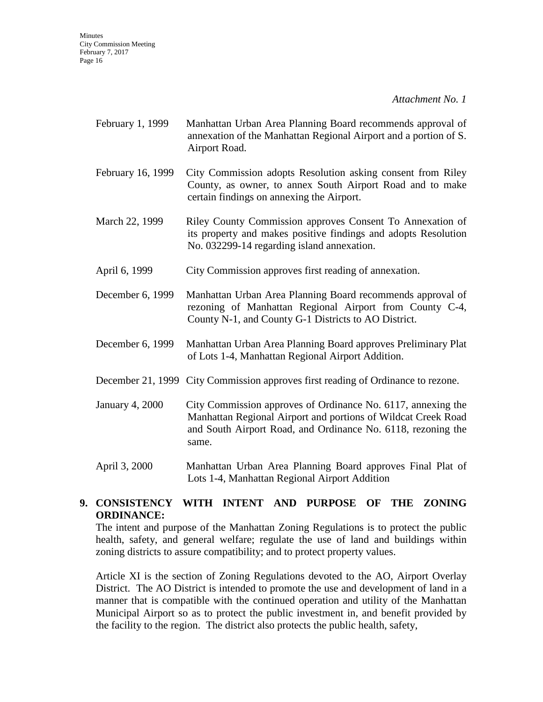- February 1, 1999 Manhattan Urban Area Planning Board recommends approval of annexation of the Manhattan Regional Airport and a portion of S. Airport Road.
- February 16, 1999 City Commission adopts Resolution asking consent from Riley County, as owner, to annex South Airport Road and to make certain findings on annexing the Airport.
- March 22, 1999 Riley County Commission approves Consent To Annexation of its property and makes positive findings and adopts Resolution No. 032299-14 regarding island annexation.
- April 6, 1999 City Commission approves first reading of annexation.
- December 6, 1999 Manhattan Urban Area Planning Board recommends approval of rezoning of Manhattan Regional Airport from County C-4, County N-1, and County G-1 Districts to AO District.
- December 6, 1999 Manhattan Urban Area Planning Board approves Preliminary Plat of Lots 1-4, Manhattan Regional Airport Addition.
- December 21, 1999 City Commission approves first reading of Ordinance to rezone.
- January 4, 2000 City Commission approves of Ordinance No. 6117, annexing the Manhattan Regional Airport and portions of Wildcat Creek Road and South Airport Road, and Ordinance No. 6118, rezoning the same.
- April 3, 2000 Manhattan Urban Area Planning Board approves Final Plat of Lots 1-4, Manhattan Regional Airport Addition

## **9. CONSISTENCY WITH INTENT AND PURPOSE OF THE ZONING ORDINANCE:**

The intent and purpose of the Manhattan Zoning Regulations is to protect the public health, safety, and general welfare; regulate the use of land and buildings within zoning districts to assure compatibility; and to protect property values.

Article XI is the section of Zoning Regulations devoted to the AO, Airport Overlay District. The AO District is intended to promote the use and development of land in a manner that is compatible with the continued operation and utility of the Manhattan Municipal Airport so as to protect the public investment in, and benefit provided by the facility to the region. The district also protects the public health, safety,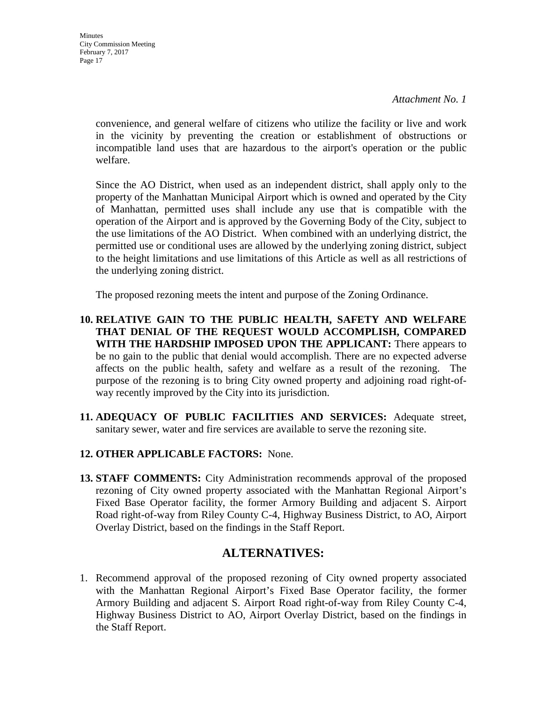*Attachment No. 1*

convenience, and general welfare of citizens who utilize the facility or live and work in the vicinity by preventing the creation or establishment of obstructions or incompatible land uses that are hazardous to the airport's operation or the public welfare.

Since the AO District, when used as an independent district, shall apply only to the property of the Manhattan Municipal Airport which is owned and operated by the City of Manhattan, permitted uses shall include any use that is compatible with the operation of the Airport and is approved by the Governing Body of the City, subject to the use limitations of the AO District. When combined with an underlying district, the permitted use or conditional uses are allowed by the underlying zoning district, subject to the height limitations and use limitations of this Article as well as all restrictions of the underlying zoning district.

The proposed rezoning meets the intent and purpose of the Zoning Ordinance.

- **10. RELATIVE GAIN TO THE PUBLIC HEALTH, SAFETY AND WELFARE THAT DENIAL OF THE REQUEST WOULD ACCOMPLISH, COMPARED WITH THE HARDSHIP IMPOSED UPON THE APPLICANT:** There appears to be no gain to the public that denial would accomplish. There are no expected adverse affects on the public health, safety and welfare as a result of the rezoning. The purpose of the rezoning is to bring City owned property and adjoining road right-ofway recently improved by the City into its jurisdiction.
- **11. ADEQUACY OF PUBLIC FACILITIES AND SERVICES:** Adequate street, sanitary sewer, water and fire services are available to serve the rezoning site.
- **12. OTHER APPLICABLE FACTORS:** None.
- **13. STAFF COMMENTS:** City Administration recommends approval of the proposed rezoning of City owned property associated with the Manhattan Regional Airport's Fixed Base Operator facility, the former Armory Building and adjacent S. Airport Road right-of-way from Riley County C-4, Highway Business District, to AO, Airport Overlay District, based on the findings in the Staff Report.

## **ALTERNATIVES:**

1. Recommend approval of the proposed rezoning of City owned property associated with the Manhattan Regional Airport's Fixed Base Operator facility, the former Armory Building and adjacent S. Airport Road right-of-way from Riley County C-4, Highway Business District to AO, Airport Overlay District, based on the findings in the Staff Report.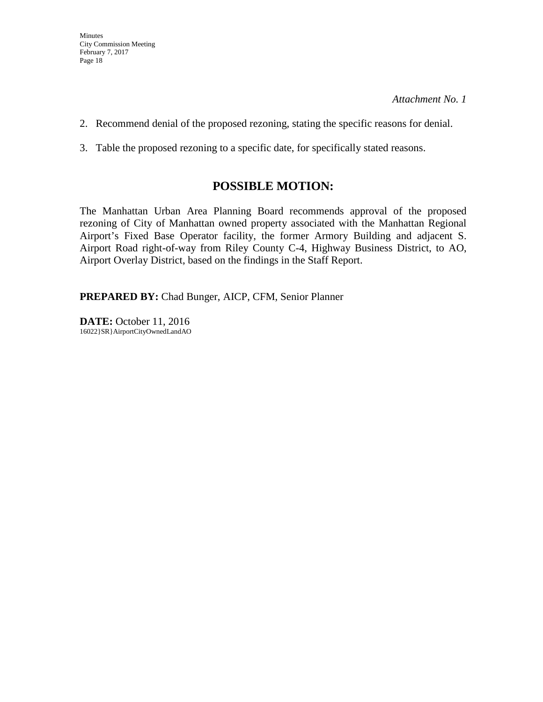- 2. Recommend denial of the proposed rezoning, stating the specific reasons for denial.
- 3. Table the proposed rezoning to a specific date, for specifically stated reasons.

## **POSSIBLE MOTION:**

The Manhattan Urban Area Planning Board recommends approval of the proposed rezoning of City of Manhattan owned property associated with the Manhattan Regional Airport's Fixed Base Operator facility, the former Armory Building and adjacent S. Airport Road right-of-way from Riley County C-4, Highway Business District, to AO, Airport Overlay District, based on the findings in the Staff Report.

**PREPARED BY:** Chad Bunger, AICP, CFM, Senior Planner

**DATE:** October 11, 2016 16022}SR}A irportCityOwnedLandAO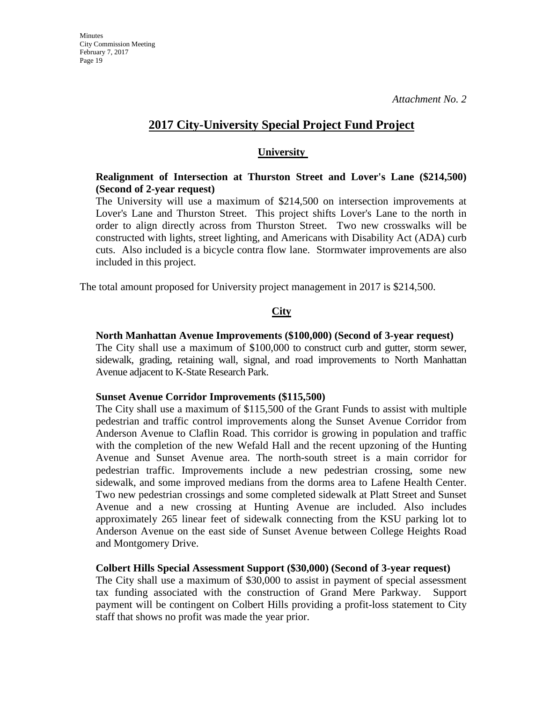## **2017 City-University Special Project Fund Project**

### **University**

## **Realignment of Intersection at Thurston Street and Lover's Lane (\$214,500) (Second of 2-year request)**

The University will use a maximum of \$214,500 on intersection improvements at Lover's Lane and Thurston Street.This project shifts Lover's Lane to the north in order to align directly across from Thurston Street. Two new crosswalks will be constructed with lights, street lighting, and Americans with Disability Act (ADA) curb cuts. Also included is a bicycle contra flow lane. Stormwater improvements are also included in this project.

The total amount proposed for University project management in 2017 is \$214,500.

## **City**

### **North Manhattan Avenue Improvements (\$100,000) (Second of 3-year request)**

The City shall use a maximum of \$100,000 to construct curb and gutter, storm sewer, sidewalk, grading, retaining wall, signal, and road improvements to North Manhattan Avenue adjacent to K-State Research Park.

#### **Sunset Avenue Corridor Improvements (\$115,500)**

The City shall use a maximum of \$115,500 of the Grant Funds to assist with multiple pedestrian and traffic control improvements along the Sunset Avenue Corridor from Anderson Avenue to Claflin Road. This corridor is growing in population and traffic with the completion of the new Wefald Hall and the recent upzoning of the Hunting Avenue and Sunset Avenue area. The north-south street is a main corridor for pedestrian traffic. Improvements include a new pedestrian crossing, some new sidewalk, and some improved medians from the dorms area to Lafene Health Center. Two new pedestrian crossings and some completed sidewalk at Platt Street and Sunset Avenue and a new crossing at Hunting Avenue are included. Also includes approximately 265 linear feet of sidewalk connecting from the KSU parking lot to Anderson Avenue on the east side of Sunset Avenue between College Heights Road and Montgomery Drive.

#### **Colbert Hills Special Assessment Support (\$30,000) (Second of 3-year request)**

The City shall use a maximum of \$30,000 to assist in payment of special assessment tax funding associated with the construction of Grand Mere Parkway. Support payment will be contingent on Colbert Hills providing a profit-loss statement to City staff that shows no profit was made the year prior.